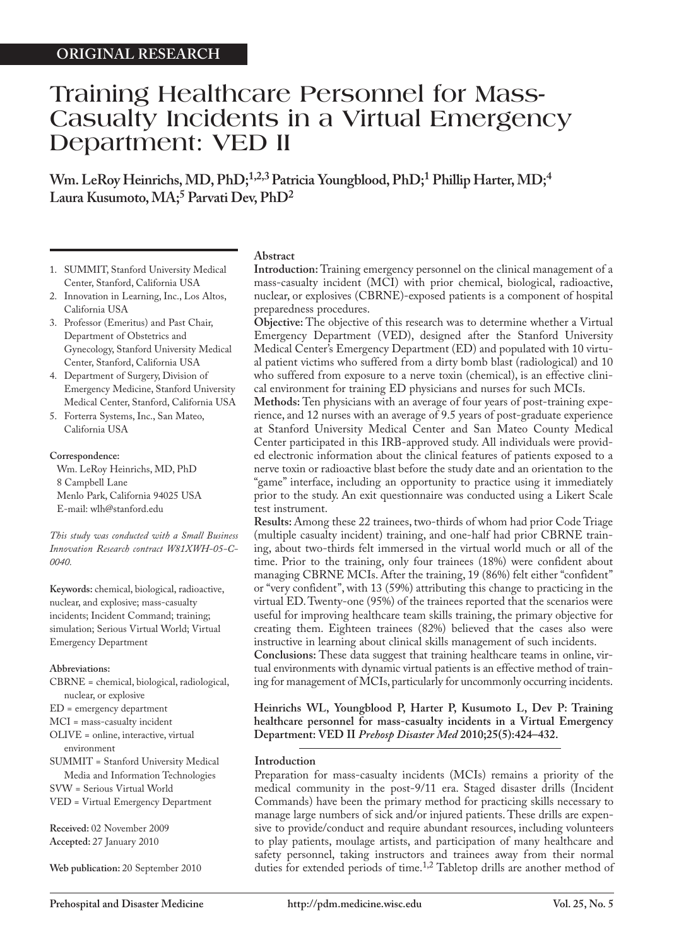# **Training Healthcare Personnel for Mass- Casualty Incidents in <sup>a</sup> Virtual Emergency Department: VED II**

**Wm.LeRoy Heinrichs,MD,PhD; 1,2,3Patricia Youngblood,PhD; <sup>1</sup> Phillip Harter,MD; 4 Laura Kusumoto,MA; <sup>5</sup> Parvati Dev,PhD2**

- 1. SUMMIT, Stanford University Medical Center, Stanford, California USA
- 2. Innovation in Learning, Inc., Los Altos, California USA
- 3. Professor (Emeritus) and Past Chair, Department of Obstetrics and Gynecology, Stanford University Medical Center, Stanford, California USA
- 4. Department of Surgery, Division of Emergency Medicine, Stanford University Medical Center, Stanford, California USA
- 5. Forterra Systems, Inc., San Mateo, California USA

## **Correspondence:**

Wm. LeRoy Heinrichs, MD, PhD 8 Campbell Lane Menlo Park, California 94025 USA E-mail: wlh@stanford.edu

*This study was conducted with a Small Business Innovation Research contract W81XWH-05-C-0040.*

**Keywords:** chemical, biological, radioactive, nuclear, and explosive; mass-casualty incidents; Incident Command; training; simulation; Serious Virtual World; Virtual Emergency Department

#### **Abbreviations:**

- CBRNE = chemical, biological, radiological, nuclear, or explosive
- ED = emergency department
- MCI = mass-casualty incident
- OLIVE = online, interactive, virtual environment
- SUMMIT = Stanford University Medical Media and Information Technologies
- SVW = Serious Virtual World
- VED = Virtual Emergency Department

**Received:** 02 November 2009 **Accepted:** 27 January 2010

**Web publication:** 20 September 2010

## **Abstract**

**Introduction:** Training emergency personnel on the clinical management of a mass-casualty incident (MCI) with prior chemical, biological, radioactive, nuclear, or explosives (CBRNE)-exposed patients is a component of hospital preparedness procedures.

**Objective:** The objective of this research was to determine whether a Virtual Emergency Department (VED), designed after the Stanford University Medical Center's Emergency Department (ED) and populated with 10 virtual patient victims who suffered from a dirty bomb blast (radiological) and 10 who suffered from exposure to a nerve toxin (chemical), is an effective clinical environment for training ED physicians and nurses for such MCIs.

**Methods:** Ten physicians with an average of four years of post-training experience, and 12 nurses with an average of 9.5 years of post-graduate experience at Stanford University Medical Center and San Mateo County Medical Center participated in this IRB-approved study. All individuals were provided electronic information about the clinical features of patients exposed to a nerve toxin or radioactive blast before the study date and an orientation to the "game" interface, including an opportunity to practice using it immediately prior to the study. An exit questionnaire was conducted using a Likert Scale test instrument.

**Results:** Among these 22 trainees, two-thirds of whom had prior Code Triage (multiple casualty incident) training, and one-half had prior CBRNE training, about two-thirds felt immersed in the virtual world much or all of the time. Prior to the training, only four trainees (18%) were confident about managing CBRNE MCIs. After the training, 19 (86%) felt either "confident" or "very confident", with 13 (59%) attributing this change to practicing in the virtual ED.Twenty-one (95%) of the trainees reported that the scenarios were useful for improving healthcare team skills training, the primary objective for creating them. Eighteen trainees (82%) believed that the cases also were instructive in learning about clinical skills management of such incidents.

**Conclusions:** These data suggest that training healthcare teams in online, virtual environments with dynamic virtual patients is an effective method of training for management of MCIs, particularly for uncommonly occurring incidents.

#### **Heinrichs WL, Youngblood P, Harter P, Kusumoto L, Dev P: Training healthcare personnel for mass-casualty incidents in a Virtual Emergency Department: VED II** *Prehosp Disaster Med* **2010;25(5):424–432.**

# **Introduction**

Preparation for mass-casualty incidents (MCIs) remains a priority of the medical community in the post-9/11 era. Staged disaster drills (Incident Commands) have been the primary method for practicing skills necessary to manage large numbers of sick and/or injured patients. These drills are expensive to provide/conduct and require abundant resources, including volunteers to play patients, moulage artists, and participation of many healthcare and safety personnel, taking instructors and trainees away from their normal duties for extended periods of time.<sup>1,2</sup> Tabletop drills are another method of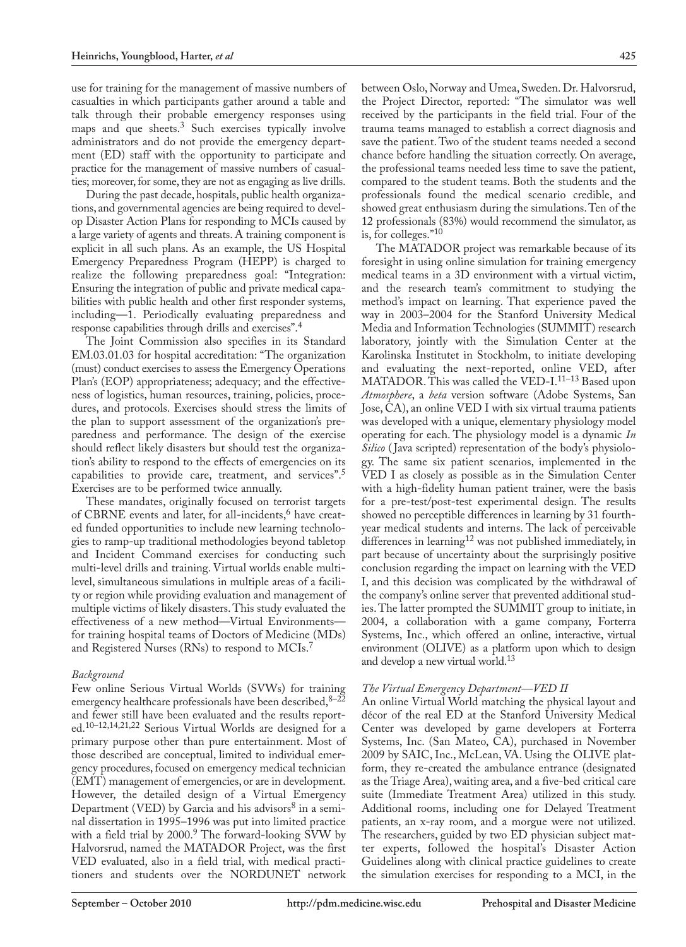use for training for the management of massive numbers of casualties in which participants gather around a table and talk through their probable emergency responses using maps and que sheets. <sup>3</sup> Such exercises typically involve administrators and do not provide the emergency department (ED) staff with the opportunity to participate and practice for the management of massive numbers of casualties; moreover, for some, they are not as engaging as live drills.

During the past decade, hospitals, public health organizations, and governmental agencies are being required to develop Disaster Action Plans for responding to MCIs caused by a large variety of agents and threats. A training component is explicit in all such plans. As an example, the US Hospital Emergency Preparedness Program (HEPP) is charged to realize the following preparedness goal: "Integration: Ensuring the integration of public and private medical capabilities with public health and other first responder systems, including—1. Periodically evaluating preparedness and response capabilities through drills and exercises". 4

The Joint Commission also specifies in its Standard EM.03.01.03 for hospital accreditation: "The organization (must) conduct exercises to assess the Emergency Operations Plan's (EOP) appropriateness; adequacy; and the effectiveness of logistics, human resources, training, policies, procedures, and protocols. Exercises should stress the limits of the plan to support assessment of the organization's preparedness and performance. The design of the exercise should reflect likely disasters but should test the organization's ability to respond to the effects of emergencies on its capabilities to provide care, treatment, and services". 5 Exercises are to be performed twice annually.

These mandates, originally focused on terrorist targets of CBRNE events and later, for all-incidents, <sup>6</sup> have created funded opportunities to include new learning technologies to ramp-up traditional methodologies beyond tabletop and Incident Command exercises for conducting such multi-level drills and training. Virtual worlds enable multilevel, simultaneous simulations in multiple areas of a facility or region while providing evaluation and management of multiple victims of likely disasters.This study evaluated the effectiveness of a new method—Virtual Environments for training hospital teams of Doctors of Medicine (MDs) and Registered Nurses (RNs) to respond to MCIs. 7

#### *Background*

Few online Serious Virtual Worlds (SVWs) for training emergency healthcare professionals have been described,<sup>8–22</sup> and fewer still have been evaluated and the results reported. 10–12,14,21,22 Serious Virtual Worlds are designed for a primary purpose other than pure entertainment. Most of those described are conceptual, limited to individual emergency procedures, focused on emergency medical technician (EMT) management of emergencies, or are in development. However, the detailed design of a Virtual Emergency Department (VED) by Garcia and his advisors<sup>8</sup> in a seminal dissertation in 1995–1996 was put into limited practice with a field trial by 2000. <sup>9</sup> The forward-looking SVW by Halvorsrud, named the MATADOR Project, was the first VED evaluated, also in a field trial, with medical practitioners and students over the NORDUNET network

between Oslo,Norway and Umea, Sweden. Dr. Halvorsrud, the Project Director, reported: "The simulator was well received by the participants in the field trial. Four of the trauma teams managed to establish a correct diagnosis and save the patient. Two of the student teams needed a second chance before handling the situation correctly. On average, the professional teams needed less time to save the patient, compared to the student teams. Both the students and the professionals found the medical scenario credible, and showed great enthusiasm during the simulations.Ten of the 12 professionals (83%) would recommend the simulator, as is, for colleges."10

The MATADOR project was remarkable because of its foresight in using online simulation for training emergency medical teams in a 3D environment with a virtual victim, and the research team's commitment to studying the method's impact on learning. That experience paved the way in 2003–2004 for the Stanford University Medical Media and Information Technologies (SUMMIT) research laboratory, jointly with the Simulation Center at the Karolinska Institutet in Stockholm, to initiate developing and evaluating the next-reported, online VED, after MATADOR. This was called the VED-I.<sup>11–13</sup> Based upon *Atmosphere*, a *beta* version software (Adobe Systems, San Jose, CA), an online VED I with six virtual trauma patients was developed with a unique, elementary physiology model operating for each. The physiology model is a dynamic *In Silico* (Java scripted) representation of the body's physiology. The same six patient scenarios, implemented in the VED I as closely as possible as in the Simulation Center with a high-fidelity human patient trainer, were the basis for a pre-test/post-test experimental design. The results showed no perceptible differences in learning by 31 fourthyear medical students and interns. The lack of perceivable differences in learning<sup>12</sup> was not published immediately, in part because of uncertainty about the surprisingly positive conclusion regarding the impact on learning with the VED I, and this decision was complicated by the withdrawal of the company's online server that prevented additional studies.The latter prompted the SUMMIT group to initiate, in 2004, a collaboration with a game company, Forterra Systems, Inc., which offered an online, interactive, virtual environment (OLIVE) as a platform upon which to design and develop a new virtual world. 13

# *The Virtual Emergency Department—VED II*

An online Virtual World matching the physical layout and décor of the real ED at the Stanford University Medical Center was developed by game developers at Forterra Systems, Inc. (San Mateo, CA), purchased in November 2009 by SAIC, Inc., McLean, VA. Using the OLIVE platform, they re-created the ambulance entrance (designated as the Triage Area),waiting area, and a five-bed critical care suite (Immediate Treatment Area) utilized in this study. Additional rooms, including one for Delayed Treatment patients, an x-ray room, and a morgue were not utilized. The researchers, guided by two ED physician subject matter experts, followed the hospital's Disaster Action Guidelines along with clinical practice guidelines to create the simulation exercises for responding to a MCI, in the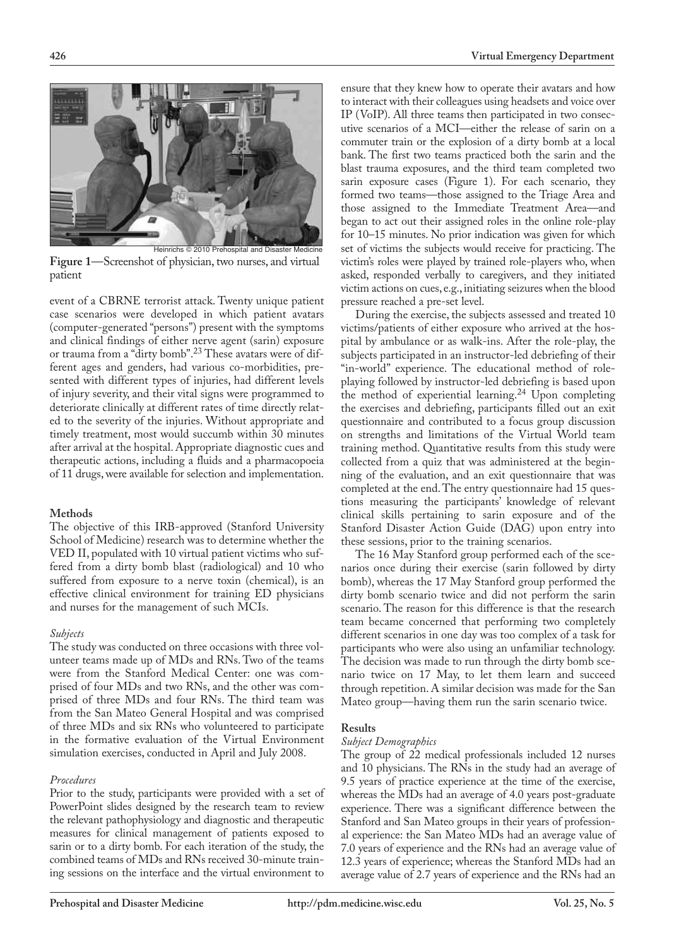

Figure 1—Screenshot of physician, two nurses, and virtual patient

event of a CBRNE terrorist attack. Twenty unique patient case scenarios were developed in which patient avatars (computer-generated "persons") present with the symptoms and clinical findings of either nerve agent (sarin) exposure or trauma from a "dirty bomb". <sup>23</sup> These avatars were of different ages and genders, had various co-morbidities, presented with different types of injuries, had different levels of injury severity, and their vital signs were programmed to deteriorate clinically at different rates of time directly related to the severity of the injuries. Without appropriate and timely treatment, most would succumb within 30 minutes after arrival at the hospital. Appropriate diagnostic cues and therapeutic actions, including a fluids and a pharmacopoeia of 11 drugs,were available for selection and implementation.

# **Methods**

The objective of this IRB-approved (Stanford University School of Medicine) research was to determine whether the VED II, populated with 10 virtual patient victims who suffered from a dirty bomb blast (radiological) and 10 who suffered from exposure to a nerve toxin (chemical), is an effective clinical environment for training ED physicians and nurses for the management of such MCIs.

# *Subjects*

The study was conducted on three occasions with three volunteer teams made up of MDs and RNs. Two of the teams were from the Stanford Medical Center: one was comprised of four MDs and two RNs, and the other was comprised of three MDs and four RNs. The third team was from the San Mateo General Hospital and was comprised of three MDs and six RNs who volunteered to participate in the formative evaluation of the Virtual Environment simulation exercises, conducted in April and July 2008.

# *Procedures*

Prior to the study, participants were provided with a set of PowerPoint slides designed by the research team to review the relevant pathophysiology and diagnostic and therapeutic measures for clinical management of patients exposed to sarin or to a dirty bomb. For each iteration of the study, the combined teams of MDs and RNs received 30-minute training sessions on the interface and the virtual environment to

ensure that they knew how to operate their avatars and how to interact with their colleagues using headsets and voice over IP (VoIP). All three teams then participated in two consecutive scenarios of a MCI—either the release of sarin on a commuter train or the explosion of a dirty bomb at a local bank. The first two teams practiced both the sarin and the blast trauma exposures, and the third team completed two sarin exposure cases (Figure 1). For each scenario, they formed two teams—those assigned to the Triage Area and those assigned to the Immediate Treatment Area—and began to act out their assigned roles in the online role-play for 10–15 minutes. No prior indication was given for which set of victims the subjects would receive for practicing. The victim's roles were played by trained role-players who, when asked, responded verbally to caregivers, and they initiated victim actions on cues, e.g., initiating seizures when the blood pressure reached a pre-set level.

During the exercise, the subjects assessed and treated 10 victims/patients of either exposure who arrived at the hospital by ambulance or as walk-ins. After the role-play, the subjects participated in an instructor-led debriefing of their "in-world" experience. The educational method of roleplaying followed by instructor-led debriefing is based upon the method of experiential learning. <sup>24</sup> Upon completing the exercises and debriefing, participants filled out an exit questionnaire and contributed to a focus group discussion on strengths and limitations of the Virtual World team training method. Quantitative results from this study were collected from a quiz that was administered at the beginning of the evaluation, and an exit questionnaire that was completed at the end.The entry questionnaire had 15 questions measuring the participants' knowledge of relevant clinical skills pertaining to sarin exposure and of the Stanford Disaster Action Guide (DAG) upon entry into these sessions, prior to the training scenarios.

The 16 May Stanford group performed each of the scenarios once during their exercise (sarin followed by dirty bomb), whereas the 17 May Stanford group performed the dirty bomb scenario twice and did not perform the sarin scenario. The reason for this difference is that the research team became concerned that performing two completely different scenarios in one day was too complex of a task for participants who were also using an unfamiliar technology. The decision was made to run through the dirty bomb scenario twice on 17 May, to let them learn and succeed through repetition. A similar decision was made for the San Mateo group—having them run the sarin scenario twice.

# **Results**

# *Subject Demographics*

The group of 22 medical professionals included 12 nurses and 10 physicians. The RNs in the study had an average of 9.5 years of practice experience at the time of the exercise, whereas the MDs had an average of 4.0 years post-graduate experience. There was a significant difference between the Stanford and San Mateo groups in their years of professional experience: the San Mateo MDs had an average value of 7.0 years of experience and the RNs had an average value of 12.3 years of experience; whereas the Stanford MDs had an average value of 2.7 years of experience and the RNs had an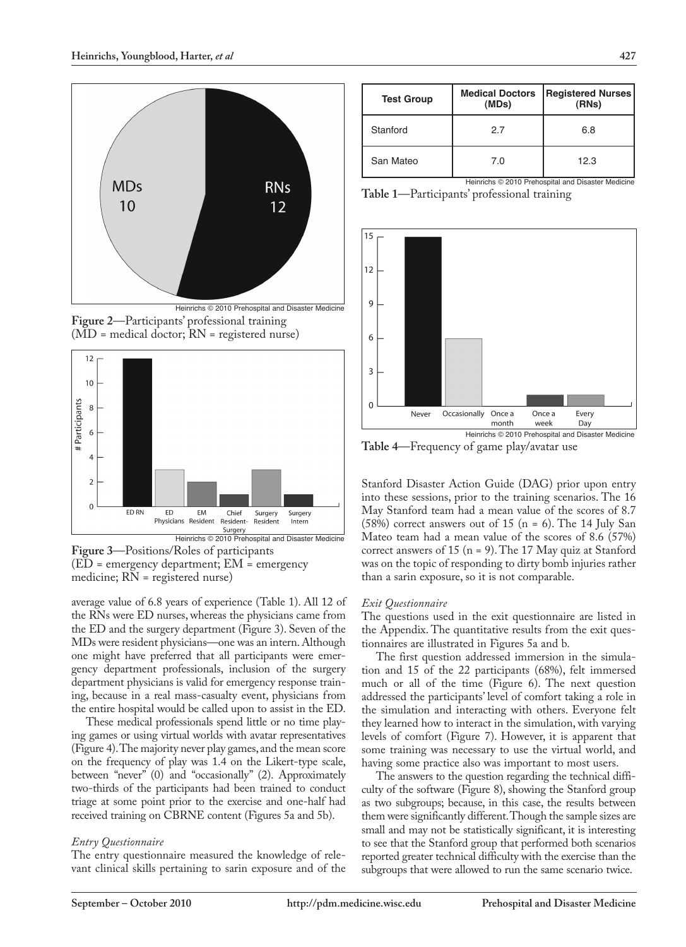

Heinrichs © 2010 Prehospital and Disaster Medicine **Figure 2**—Participants' professional training





**Figure 3**—Positions/Roles of participants (ED = emergency department; EM = emergency medicine; RN = registered nurse)

average value of 6.8 years of experience (Table 1). All 12 of the RNs were ED nurses, whereas the physicians came from the ED and the surgery department (Figure 3). Seven of the MDs were resident physicians—one was an intern.Although one might have preferred that all participants were emergency department professionals, inclusion of the surgery department physicians is valid for emergency response training, because in a real mass-casualty event, physicians from the entire hospital would be called upon to assist in the ED.

These medical professionals spend little or no time playing games or using virtual worlds with avatar representatives (Figure 4).The majority never play games, and the mean score on the frequency of play was 1.4 on the Likert-type scale, between "never" (0) and "occasionally" (2). Approximately two-thirds of the participants had been trained to conduct triage at some point prior to the exercise and one-half had received training on CBRNE content (Figures 5a and 5b).

# *Entry Questionnaire*

The entry questionnaire measured the knowledge of relevant clinical skills pertaining to sarin exposure and of the

| <b>Test Group</b> | <b>Medical Doctors</b><br>(MDs) | <b>Registered Nurses</b><br>(RNs) |
|-------------------|---------------------------------|-----------------------------------|
| Stanford          | 27                              | 6.8                               |
| San Mateo         | 70                              | 12.3                              |

Heinrichs © 2010 Prehospital and Disaster Medicine **Table 1**—Participants' professional training



**Table 4**—Frequency of game play/avatar use

Stanford Disaster Action Guide (DAG) prior upon entry into these sessions, prior to the training scenarios. The 16 May Stanford team had a mean value of the scores of 8.7 (58%) correct answers out of 15 ( $n = 6$ ). The 14 July San Mateo team had a mean value of the scores of 8.6 (57%) correct answers of 15 ( $n = 9$ ). The 17 May quiz at Stanford was on the topic of responding to dirty bomb injuries rather than a sarin exposure, so it is not comparable.

#### *Exit Questionnaire*

The questions used in the exit questionnaire are listed in the Appendix. The quantitative results from the exit questionnaires are illustrated in Figures 5a and b.

The first question addressed immersion in the simulation and 15 of the 22 participants (68%), felt immersed much or all of the time (Figure 6). The next question addressed the participants' level of comfort taking a role in the simulation and interacting with others. Everyone felt they learned how to interact in the simulation, with varying levels of comfort (Figure 7). However, it is apparent that some training was necessary to use the virtual world, and having some practice also was important to most users.

The answers to the question regarding the technical difficulty of the software (Figure 8), showing the Stanford group as two subgroups; because, in this case, the results between them were significantly different.Though the sample sizes are small and may not be statistically significant, it is interesting to see that the Stanford group that performed both scenarios reported greater technical difficulty with the exercise than the subgroups that were allowed to run the same scenario twice.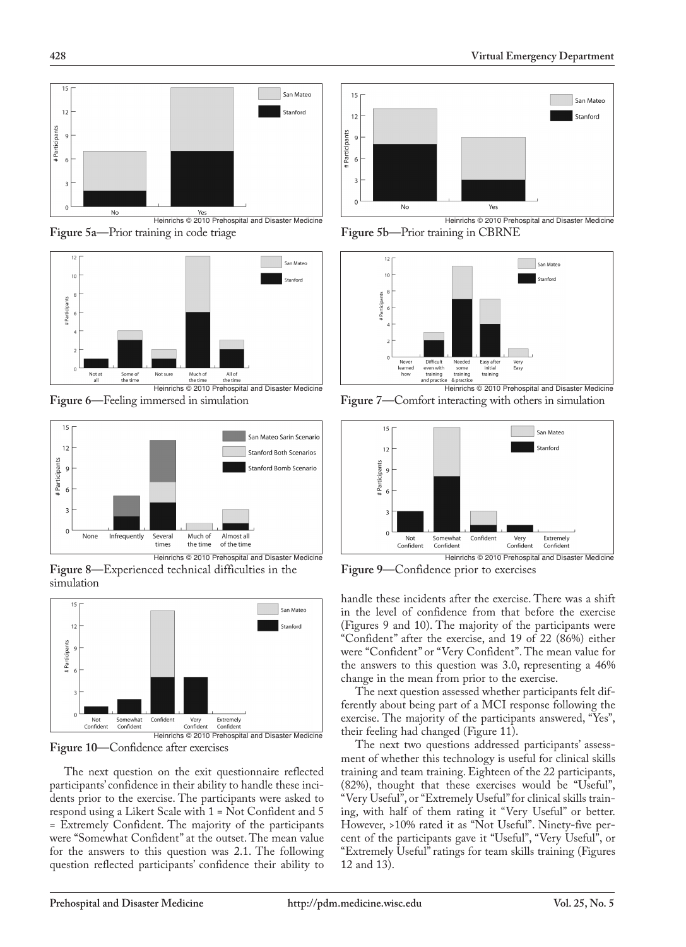

**Figure 5a**—Prior training in code triage



**Figure 6**—Feeling immersed in simulation



**Figure 8**—Experienced technical difficulties in the simulation



**Figure 10**—Confidence after exercises

The next question on the exit questionnaire reflected participants' confidence in their ability to handle these incidents prior to the exercise. The participants were asked to respond using a Likert Scale with 1 = Not Confident and 5 = Extremely Confident. The majority of the participants were "Somewhat Confident" at the outset. The mean value for the answers to this question was 2.1. The following question reflected participants' confidence their ability to







**Figure 7**—Comfort interacting with others in simulation



**Figure 9**—Confidence prior to exercises

handle these incidents after the exercise. There was a shift in the level of confidence from that before the exercise (Figures 9 and 10). The majority of the participants were "Confident" after the exercise, and 19 of 22 (86%) either were "Confident" or "Very Confident". The mean value for the answers to this question was 3.0, representing a 46% change in the mean from prior to the exercise.

The next question assessed whether participants felt differently about being part of a MCI response following the exercise. The majority of the participants answered, "Yes", their feeling had changed (Figure 11).

The next two questions addressed participants' assessment of whether this technology is useful for clinical skills training and team training.Eighteen of the 22 participants, (82%), thought that these exercises would be "Useful", "Very Useful", or "Extremely Useful"for clinical skills training, with half of them rating it "Very Useful" or better. However, >10% rated it as "Not Useful". Ninety-five percent of the participants gave it "Useful", "Very Useful", or "Extremely Useful" ratings for team skills training (Figures 12 and 13).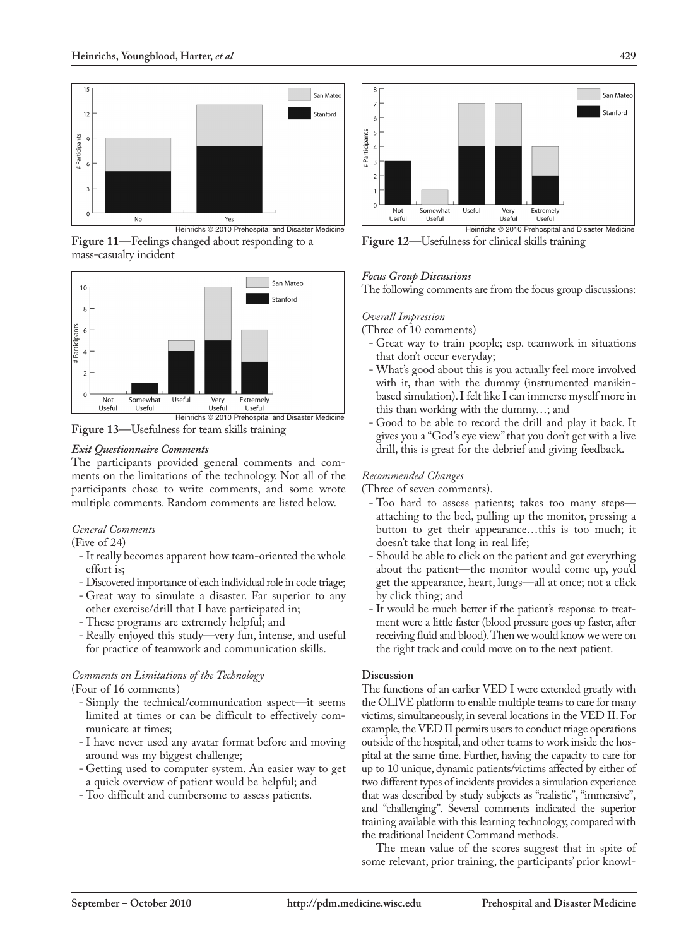

**Figure 11**—Feelings changed about responding to a mass-casualty incident



**Figure 13**—Usefulness for team skills training

# *Exit Questionnaire Comments*

The participants provided general comments and comments on the limitations of the technology. Not all of the participants chose to write comments, and some wrote multiple comments. Random comments are listed below.

# *General Comments*

(Five of 24)

- It really becomes apparent how team-oriented the whole effort is;
- Discovered importance of each individual role in code triage;
- Great way to simulate a disaster. Far superior to any other exercise/drill that I have participated in;
- These programs are extremely helpful; and
- Really enjoyed this study—very fun, intense, and useful for practice of teamwork and communication skills.

# *Comments on Limitations of the Technology*

(Four of 16 comments)

- Simply the technical/communication aspect—it seems limited at times or can be difficult to effectively communicate at times;
- I have never used any avatar format before and moving around was my biggest challenge;
- Getting used to computer system. An easier way to get a quick overview of patient would be helpful; and
- Too difficult and cumbersome to assess patients.



**Figure 12**—Usefulness for clinical skills training

# *Focus Group Discussions*

The following comments are from the focus group discussions:

# *Overall Impression*

- (Three of 10 comments)
- Great way to train people; esp. teamwork in situations that don't occur everyday;
- What's good about this is you actually feel more involved with it, than with the dummy (instrumented manikinbased simulation).I felt like I can immerse myself more in this than working with the dummy…; and
- Good to be able to record the drill and play it back. It gives you a "God's eye view"that you don't get with a live drill, this is great for the debrief and giving feedback.

# *Recommended Changes*

(Three of seven comments).

- Too hard to assess patients; takes too many steps attaching to the bed, pulling up the monitor, pressing a button to get their appearance…this is too much; it doesn't take that long in real life;
- Should be able to click on the patient and get everything about the patient—the monitor would come up, you'd get the appearance, heart, lungs—all at once; not a click by click thing; and
- It would be much better if the patient's response to treatment were a little faster (blood pressure goes up faster, after receiving fluid and blood). Then we would know we were on the right track and could move on to the next patient.

# **Discussion**

The functions of an earlier VED I were extended greatly with the OLIVE platform to enable multiple teams to care for many victims, simultaneously, in several locations in the VED II. For example, the VED II permits users to conduct triage operations outside of the hospital, and other teams to work inside the hospital at the same time. Further, having the capacity to care for up to 10 unique, dynamic patients/victims affected by either of two different types of incidents provides a simulation experience that was described by study subjects as "realistic", "immersive", and "challenging". Several comments indicated the superior training available with this learning technology, compared with the traditional Incident Command methods.

The mean value of the scores suggest that in spite of some relevant, prior training, the participants' prior knowl-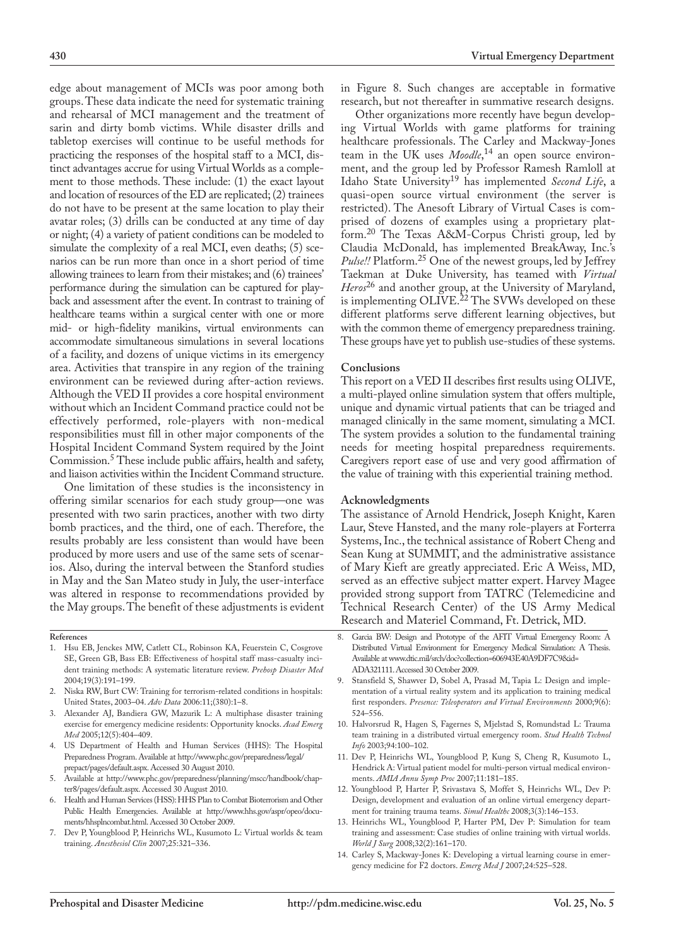edge about management of MCIs was poor among both groups.These data indicate the need for systematic training and rehearsal of MCI management and the treatment of sarin and dirty bomb victims. While disaster drills and tabletop exercises will continue to be useful methods for practicing the responses of the hospital staff to a MCI, distinct advantages accrue for using Virtual Worlds as a complement to those methods. These include: (1) the exact layout and location of resources of the ED are replicated;(2) trainees do not have to be present at the same location to play their avatar roles; (3) drills can be conducted at any time of day or night; (4) a variety of patient conditions can be modeled to simulate the complexity of a real MCI, even deaths; (5) scenarios can be run more than once in a short period of time allowing trainees to learn from their mistakes; and (6) trainees' performance during the simulation can be captured for playback and assessment after the event.In contrast to training of healthcare teams within a surgical center with one or more mid- or high-fidelity manikins, virtual environments can accommodate simultaneous simulations in several locations of a facility, and dozens of unique victims in its emergency area. Activities that transpire in any region of the training environment can be reviewed during after-action reviews. Although the VED II provides a core hospital environment without which an Incident Command practice could not be effectively performed, role-players with non-medical responsibilities must fill in other major components of the Hospital Incident Command System required by the Joint Commission. <sup>5</sup> These include public affairs, health and safety, and liaison activities within the Incident Command structure.

One limitation of these studies is the inconsistency in offering similar scenarios for each study group—one was presented with two sarin practices, another with two dirty bomb practices, and the third, one of each. Therefore, the results probably are less consistent than would have been produced by more users and use of the same sets of scenarios. Also, during the interval between the Stanford studies in May and the San Mateo study in July, the user-interface was altered in response to recommendations provided by the May groups.The benefit of these adjustments is evident

#### **References**

- 1. Hsu EB, Jenckes MW, Catlett CL, Robinson KA, Feuerstein C, Cosgrove SE, Green GB, Bass EB: Effectiveness of hospital staff mass-casualty incident training methods: A systematic literature review. *Prehosp Disaster Med* 2004;19(3):191–199.
- 2. Niska RW, Burt CW: Training for terrorism-related conditions in hospitals: United States, 2003–04. *Adv Data* 2006:11;(380):1–8.
- 3. Alexander AJ, Bandiera GW, Mazurik L: A multiphase disaster training exercise for emergency medicine residents: Opportunity knocks. *Acad Emerg Med* 2005;12(5):404–409.
- 4. US Department of Health and Human Services (HHS): The Hospital Preparedness Program. Available at http://www.phc.gov/preparedness/legal/ prepact/pages/default.aspx. Accessed 30 August 2010.
- 5. Available at http://www.phc.gov/preparedness/planning/mscc/handbook/chapter8/pages/default.aspx. Accessed 30 August 2010.
- 6. Health and Human Services (HSS): HHS Plan to Combat Bioterrorism and Other Public Health Emergencies. Available at http://www.hhs.gov/aspr/opeo/documents/hhsplncombat.html.Accessed 30 October 2009.
- 7. Dev P, Youngblood P, Heinrichs WL, Kusumoto L: Virtual worlds & team training. *Anesthesiol Clin* 2007;25:321–336.

in Figure 8. Such changes are acceptable in formative research, but not thereafter in summative research designs.

Other organizations more recently have begun developing Virtual Worlds with game platforms for training healthcare professionals. The Carley and Mackway-Jones team in the UK uses *Moodle*, <sup>14</sup> an open source environment, and the group led by Professor Ramesh Ramloll at Idaho State University19 has implemented *Second Life*, a quasi-open source virtual environment (the server is restricted). The Anesoft Library of Virtual Cases is comprised of dozens of examples using a proprietary platform. <sup>20</sup> The Texas A&M-Corpus Christi group, led by Claudia McDonald, has implemented BreakAway, Inc.'s *Pulse!!* Platform. <sup>25</sup> One of the newest groups, led by Jeffrey Taekman at Duke University, has teamed with *Virtual Heros* <sup>26</sup> and another group, at the University of Maryland, is implementing OLIVE.<sup>22</sup> The SVWs developed on these different platforms serve different learning objectives, but with the common theme of emergency preparedness training. These groups have yet to publish use-studies of these systems.

#### **Conclusions**

This report on a VED II describes first results using OLIVE, a multi-played online simulation system that offers multiple, unique and dynamic virtual patients that can be triaged and managed clinically in the same moment, simulating a MCI. The system provides a solution to the fundamental training needs for meeting hospital preparedness requirements. Caregivers report ease of use and very good affirmation of the value of training with this experiential training method.

#### **Acknowledgments**

The assistance of Arnold Hendrick, Joseph Knight, Karen Laur, Steve Hansted, and the many role-players at Forterra Systems,Inc., the technical assistance of Robert Cheng and Sean Kung at SUMMIT, and the administrative assistance of Mary Kieft are greatly appreciated. Eric A Weiss, MD, served as an effective subject matter expert. Harvey Magee provided strong support from TATRC (Telemedicine and Technical Research Center) of the US Army Medical Research and Materiel Command, Ft. Detrick, MD.

- 8. Garcia BW: Design and Prototype of the AFIT Virtual Emergency Room: A Distributed Virtual Environment for Emergency Medical Simulation: A Thesis. Available at www.dtic.mil/srch/doc?collection=606943E40A9DF7C9&id= ADA321111.Accessed 30 October 2009.
- 9. Stansfield S, Shawver D, Sobel A, Prasad M, Tapia L: Design and implementation of a virtual reality system and its application to training medical first responders. *Presence: Teleoperators and Virtual Environments* 2000;9(6): 524–556.
- 10. Halvorsrud R, Hagen S, Fagernes S, Mjelstad S, Romundstad L: Trauma team training in a distributed virtual emergency room. *Stud Health Technol Info* 2003;94:100–102.
- 11. Dev P, Heinrichs WL, Youngblood P, Kung S, Cheng R, Kusumoto L, Hendrick A: Virtual patient model for multi-person virtual medical environments. *AMIA Annu Symp Proc* 2007;11:181–185.
- 12. Youngblood P, Harter P, Srivastava S, Moffet S, Heinrichs WL, Dev P: Design, development and evaluation of an online virtual emergency department for training trauma teams. *Simul Healthc* 2008;3(3):146–153.
- 13. Heinrichs WL, Youngblood P, Harter PM, Dev P: Simulation for team training and assessment: Case studies of online training with virtual worlds. *World J Surg* 2008;32(2):161–170.
- 14. Carley S, Mackway-Jones K: Developing a virtual learning course in emergency medicine for F2 doctors. *Emerg Med J* 2007;24:525–528.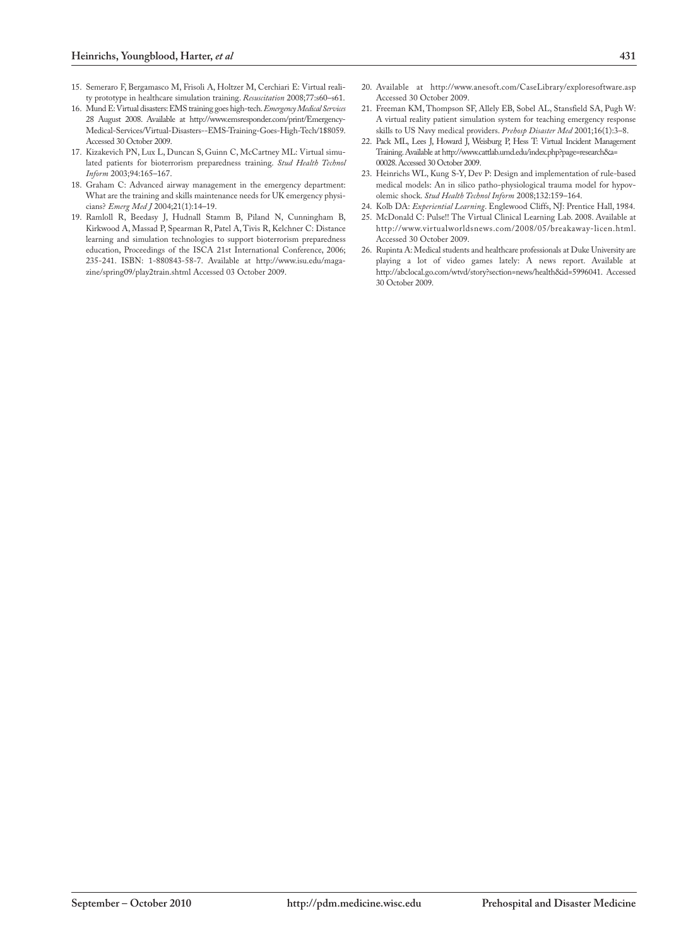- 15. Semeraro F, Bergamasco M, Frisoli A, Holtzer M, Cerchiari E: Virtual reality prototype in healthcare simulation training. *Resuscitation* 2008;77:s60–s61.
- 16. MundE:Virtual disasters:EMS training goes high-tech.*EmergencyMedical Services* 28 August 2008. Available at http://www.emsresponder.com/print/Emergency-Medical-Services/Virtual-Disasters--EMS-Training-Goes-High-Tech/1\$8059. Accessed 30 October 2009.
- 17. Kizakevich PN, Lux L, Duncan S, Guinn C, McCartney ML: Virtual simulated patients for bioterrorism preparedness training. *Stud Health Technol Inform* 2003;94:165–167.
- 18. Graham C: Advanced airway management in the emergency department: What are the training and skills maintenance needs for UK emergency physicians? *Emerg Med J* 2004;21(1):14–19.
- 19. Ramloll R, Beedasy J, Hudnall Stamm B, Piland N, Cunningham B, Kirkwood A, Massad P, Spearman R, Patel A, Tivis R, Kelchner C: Distance learning and simulation technologies to support bioterrorism preparedness education, Proceedings of the ISCA 21st International Conference, 2006; 235-241. ISBN: 1-880843-58-7. Available at http://www.isu.edu/magazine/spring09/play2train.shtml Accessed 03 October 2009.
- 20. Available at http://www.anesoft.com/CaseLibrary/exploresoftware.asp Accessed 30 October 2009.
- 21. Freeman KM, Thompson SF, Allely EB, Sobel AL, Stansfield SA, Pugh W: A virtual reality patient simulation system for teaching emergency response skills to US Navy medical providers. *Prehosp Disaster Med* 2001;16(1):3–8.
- 22. Pack ML, Lees J, Howard J, Weisburg P, Hess T: Virtual Incident Management Training.Available at http://www.cattlab.umd.edu/index.php?page=research&a= 00028.Accessed 30 October 2009.
- 23. Heinrichs WL, Kung S-Y, Dev P: Design and implementation of rule-based medical models: An in silico patho-physiological trauma model for hypovolemic shock. *Stud Health Technol Inform* 2008;132:159–164.
- 24. Kolb DA: *Experiential Learning*. Englewood Cliffs, NJ: Prentice Hall, 1984.
- 25. McDonald C: Pulse!! The Virtual Clinical Learning Lab. 2008. Available at http://www.virtualworldsnews.com/2008/05/breakaway-licen.html. Accessed 30 October 2009.
- 26. Rupinta A: Medical students and healthcare professionals at Duke University are playing a lot of video games lately: A news report. Available at http://abclocal.go.com/wtvd/story?section=news/health&id=5996041. Accessed 30 October 2009.